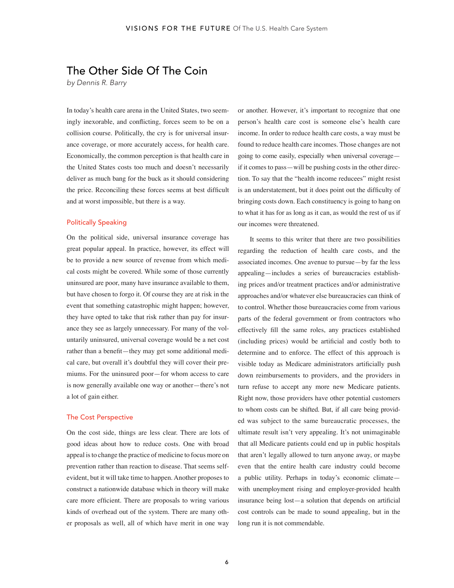## The Other Side Of The Coin

*by Dennis R. Barry*

In today's health care arena in the United States, two seemingly inexorable, and conflicting, forces seem to be on a collision course. Politically, the cry is for universal insurance coverage, or more accurately access, for health care. Economically, the common perception is that health care in the United States costs too much and doesn't necessarily deliver as much bang for the buck as it should considering the price. Reconciling these forces seems at best difficult and at worst impossible, but there is a way.

## Politically Speaking

On the political side, universal insurance coverage has great popular appeal. In practice, however, its effect will be to provide a new source of revenue from which medical costs might be covered. While some of those currently uninsured are poor, many have insurance available to them, but have chosen to forgo it. Of course they are at risk in the event that something catastrophic might happen; however, they have opted to take that risk rather than pay for insurance they see as largely unnecessary. For many of the voluntarily uninsured, universal coverage would be a net cost rather than a benefit—they may get some additional medical care, but overall it's doubtful they will cover their premiums. For the uninsured poor—for whom access to care is now generally available one way or another—there's not a lot of gain either.

## The Cost Perspective

On the cost side, things are less clear. There are lots of good ideas about how to reduce costs. One with broad appeal is to change the practice of medicine to focus more on prevention rather than reaction to disease. That seems selfevident, but it will take time to happen. Another proposes to construct a nationwide database which in theory will make care more efficient. There are proposals to wring various kinds of overhead out of the system. There are many other proposals as well, all of which have merit in one way or another. However, it's important to recognize that one person's health care cost is someone else's health care income. In order to reduce health care costs, a way must be found to reduce health care incomes. Those changes are not going to come easily, especially when universal coverage if it comes to pass—will be pushing costs in the other direction. To say that the "health income reducees" might resist is an understatement, but it does point out the difficulty of bringing costs down. Each constituency is going to hang on to what it has for as long as it can, as would the rest of us if our incomes were threatened.

It seems to this writer that there are two possibilities regarding the reduction of health care costs, and the associated incomes. One avenue to pursue—by far the less appealing—includes a series of bureaucracies establishing prices and/or treatment practices and/or administrative approaches and/or whatever else bureaucracies can think of to control. Whether those bureaucracies come from various parts of the federal government or from contractors who effectively fill the same roles, any practices established (including prices) would be artificial and costly both to determine and to enforce. The effect of this approach is visible today as Medicare administrators artificially push down reimbursements to providers, and the providers in turn refuse to accept any more new Medicare patients. Right now, those providers have other potential customers to whom costs can be shifted. But, if all care being provided was subject to the same bureaucratic processes, the ultimate result isn't very appealing. It's not unimaginable that all Medicare patients could end up in public hospitals that aren't legally allowed to turn anyone away, or maybe even that the entire health care industry could become a public utility. Perhaps in today's economic climate with unemployment rising and employer-provided health insurance being lost—a solution that depends on artificial cost controls can be made to sound appealing, but in the long run it is not commendable.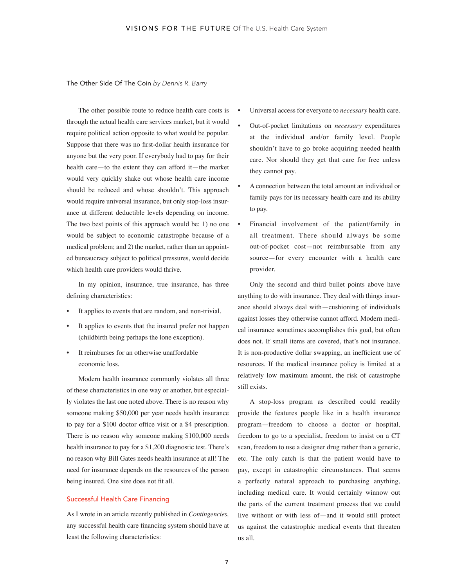The Other Side Of The Coin *by Dennis R. Barry*

The other possible route to reduce health care costs is through the actual health care services market, but it would require political action opposite to what would be popular. Suppose that there was no first-dollar health insurance for anyone but the very poor. If everybody had to pay for their health care—to the extent they can afford it—the market would very quickly shake out whose health care income should be reduced and whose shouldn't. This approach would require universal insurance, but only stop-loss insurance at different deductible levels depending on income. The two best points of this approach would be: 1) no one would be subject to economic catastrophe because of a medical problem; and 2) the market, rather than an appointed bureaucracy subject to political pressures, would decide which health care providers would thrive.

In my opinion, insurance, true insurance, has three defining characteristics:

- It applies to events that are random, and non-trivial.
- It applies to events that the insured prefer not happen (childbirth being perhaps the lone exception).
- It reimburses for an otherwise unaffordable economic loss.

Modern health insurance commonly violates all three of these characteristics in one way or another, but especially violates the last one noted above. There is no reason why someone making \$50,000 per year needs health insurance to pay for a \$100 doctor office visit or a \$4 prescription. There is no reason why someone making \$100,000 needs health insurance to pay for a \$1,200 diagnostic test. There's no reason why Bill Gates needs health insurance at all! The need for insurance depends on the resources of the person being insured. One size does not fit all.

## Successful Health Care Financing

As I wrote in an article recently published in *Contingencies,* any successful health care financing system should have at least the following characteristics:

- Universal access for everyone to *necessary* health care.
- Out-of-pocket limitations on *necessary* expenditures at the individual and/or family level. People shouldn't have to go broke acquiring needed health care. Nor should they get that care for free unless they cannot pay.
- A connection between the total amount an individual or family pays for its necessary health care and its ability to pay.
- Financial involvement of the patient/family in all treatment. There should always be some out-of-pocket cost—not reimbursable from any source—for every encounter with a health care provider.

Only the second and third bullet points above have anything to do with insurance. They deal with things insurance should always deal with—cushioning of individuals against losses they otherwise cannot afford. Modern medical insurance sometimes accomplishes this goal, but often does not. If small items are covered, that's not insurance. It is non-productive dollar swapping, an inefficient use of resources. If the medical insurance policy is limited at a relatively low maximum amount, the risk of catastrophe still exists.

A stop-loss program as described could readily provide the features people like in a health insurance program—freedom to choose a doctor or hospital, freedom to go to a specialist, freedom to insist on a CT scan, freedom to use a designer drug rather than a generic, etc. The only catch is that the patient would have to pay, except in catastrophic circumstances. That seems a perfectly natural approach to purchasing anything, including medical care. It would certainly winnow out the parts of the current treatment process that we could live without or with less of—and it would still protect us against the catastrophic medical events that threaten us all.